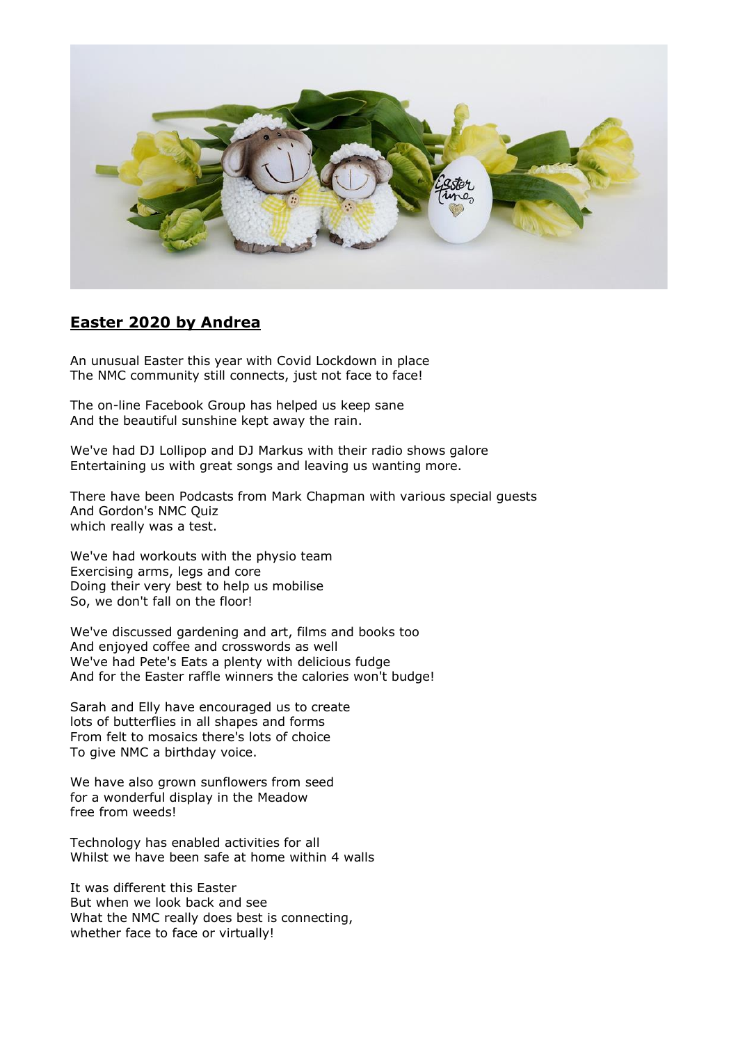

#### **Easter 2020 by Andrea**

An unusual Easter this year with Covid Lockdown in place The NMC community still connects, just not face to face!

The on-line Facebook Group has helped us keep sane And the beautiful sunshine kept away the rain.

We've had DJ Lollipop and DJ Markus with their radio shows galore Entertaining us with great songs and leaving us wanting more.

There have been Podcasts from Mark Chapman with various special guests And Gordon's NMC Quiz which really was a test.

We've had workouts with the physio team Exercising arms, legs and core Doing their very best to help us mobilise So, we don't fall on the floor!

We've discussed gardening and art, films and books too And enjoyed coffee and crosswords as well We've had Pete's Eats a plenty with delicious fudge And for the Easter raffle winners the calories won't budge!

Sarah and Elly have encouraged us to create lots of butterflies in all shapes and forms From felt to mosaics there's lots of choice To give NMC a birthday voice.

We have also grown sunflowers from seed for a wonderful display in the Meadow free from weeds!

Technology has enabled activities for all Whilst we have been safe at home within 4 walls

It was different this Easter But when we look back and see What the NMC really does best is connecting, whether face to face or virtually!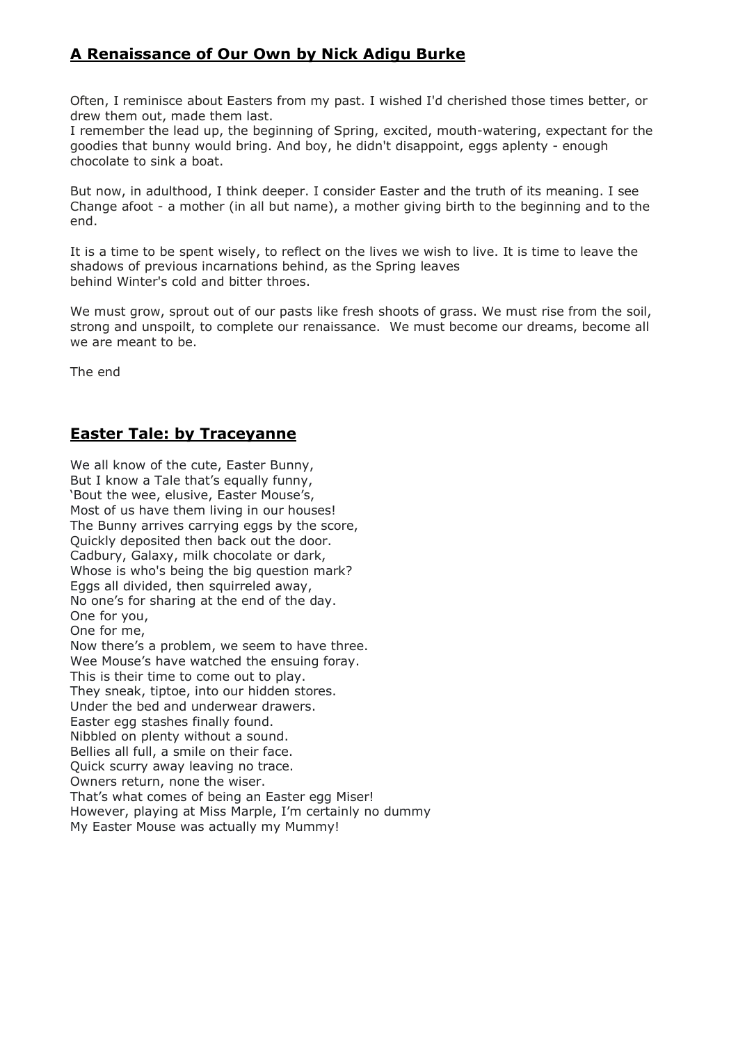# **A Renaissance of Our Own by Nick Adigu Burke**

Often, I reminisce about Easters from my past. I wished I'd cherished those times better, or drew them out, made them last.

I remember the lead up, the beginning of Spring, excited, mouth-watering, expectant for the goodies that bunny would bring. And boy, he didn't disappoint, eggs aplenty - enough chocolate to sink a boat.

But now, in adulthood, I think deeper. I consider Easter and the truth of its meaning. I see Change afoot - a mother (in all but name), a mother giving birth to the beginning and to the end.

It is a time to be spent wisely, to reflect on the lives we wish to live. It is time to leave the shadows of previous incarnations behind, as the Spring leaves behind Winter's cold and bitter throes.

We must grow, sprout out of our pasts like fresh shoots of grass. We must rise from the soil, strong and unspoilt, to complete our renaissance. We must become our dreams, become all we are meant to be.

The end

#### **Easter Tale: by Traceyanne**

We all know of the cute, Easter Bunny, But I know a Tale that's equally funny, 'Bout the wee, elusive, Easter Mouse's, Most of us have them living in our houses! The Bunny arrives carrying eggs by the score, Quickly deposited then back out the door. Cadbury, Galaxy, milk chocolate or dark, Whose is who's being the big question mark? Eggs all divided, then squirreled away, No one's for sharing at the end of the day. One for you, One for me, Now there's a problem, we seem to have three. Wee Mouse's have watched the ensuing foray. This is their time to come out to play. They sneak, tiptoe, into our hidden stores. Under the bed and underwear drawers. Easter egg stashes finally found. Nibbled on plenty without a sound. Bellies all full, a smile on their face. Quick scurry away leaving no trace. Owners return, none the wiser. That's what comes of being an Easter egg Miser! However, playing at Miss Marple, I'm certainly no dummy My Easter Mouse was actually my Mummy!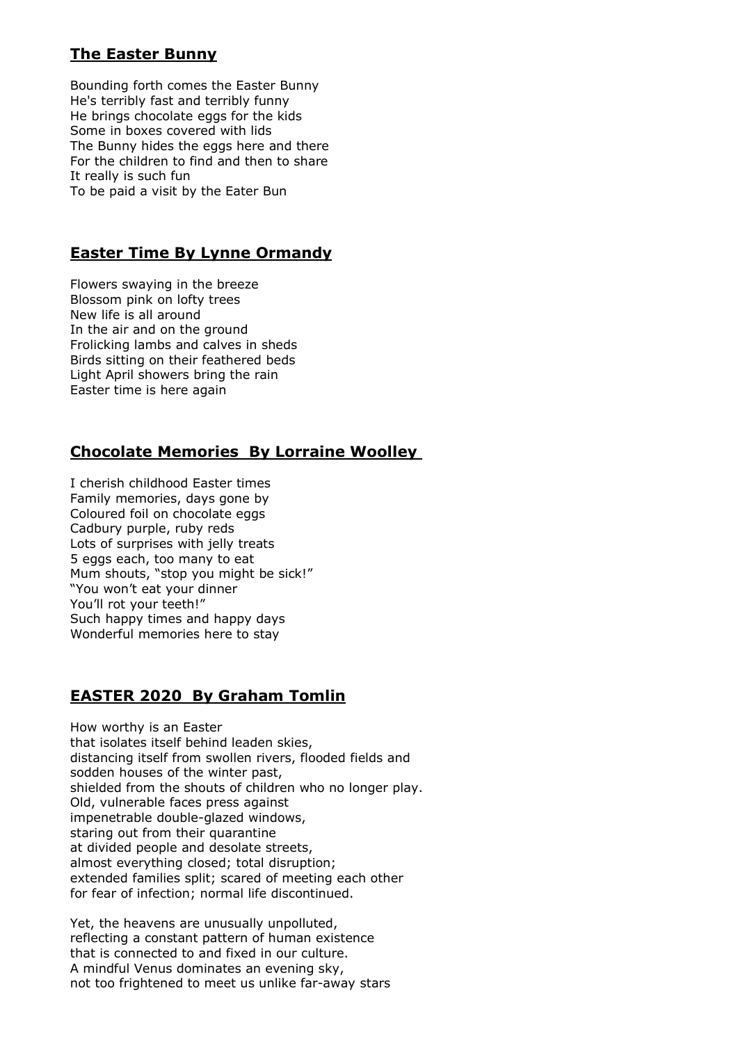# **The Easter Bunny**

Bounding forth comes the Easter Bunny He's terribly fast and terribly funny He brings chocolate eggs for the kids Some in boxes covered with lids The Bunny hides the eggs here and there For the children to find and then to share It really is such fun To be paid a visit by the Eater Bun

### **Easter Time By Lynne Ormandy**

Flowers swaying in the breeze Blossom pink on lofty trees New life is all around In the air and on the ground Frolicking lambs and calves in sheds Birds sitting on their feathered beds Light April showers bring the rain Easter time is here again

### **Chocolate Memories By Lorraine Woolley**

I cherish childhood Easter times Family memories, days gone by Coloured foil on chocolate eggs Cadbury purple, ruby reds Lots of surprises with jelly treats 5 eggs each, too many to eat Mum shouts, "stop you might be sick!" "You won't eat your dinner You'll rot your teeth!" Such happy times and happy days Wonderful memories here to stay

### **EASTER 2020 By Graham Tomlin**

How worthy is an Easter that isolates itself behind leaden skies, distancing itself from swollen rivers, flooded fields and sodden houses of the winter past, shielded from the shouts of children who no longer play. Old, vulnerable faces press against impenetrable double-glazed windows, staring out from their quarantine at divided people and desolate streets, almost everything closed; total disruption; extended families split; scared of meeting each other for fear of infection; normal life discontinued.

Yet, the heavens are unusually unpolluted, reflecting a constant pattern of human existence that is connected to and fixed in our culture. A mindful Venus dominates an evening sky, not too frightened to meet us unlike far-away stars